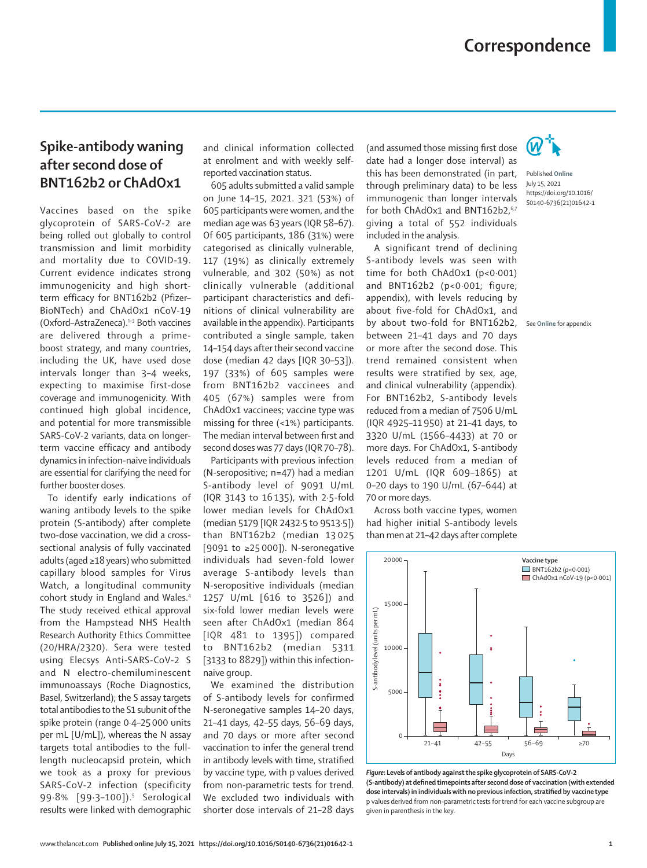## **Spike-antibody waning after second dose of BNT162b2 or ChAdOx1**

Vaccines based on the spike glycoprotein of SARS-CoV-2 are being rolled out globally to control transmission and limit morbidity and mortality due to COVID-19. Current evidence indicates strong immunogenicity and high shortterm efficacy for BNT162b2 (Pfizer– BioNTech) and ChAdOx1 nCoV-19 (Oxford–AstraZeneca).1–3 Both vaccines are delivered through a primeboost strategy, and many countries, including the UK, have used dose intervals longer than 3–4 weeks, expecting to maximise first-dose coverage and immunogenicity. With continued high global incidence, and potential for more transmissible SARS-CoV-2 variants, data on longerterm vaccine efficacy and antibody dynamics in infection-naive individuals are essential for clarifying the need for further booster doses.

To identify early indications of waning antibody levels to the spike protein (S-antibody) after complete two-dose vaccination, we did a crosssectional analysis of fully vaccinated adults (aged ≥18 years) who submitted capillary blood samples for Virus Watch, a longitudinal community cohort study in England and Wales.4 The study received ethical approval from the Hampstead NHS Health Research Authority Ethics Committee (20/HRA/2320). Sera were tested using Elecsys Anti-SARS-CoV-2 S and N electro-chemiluminescent immunoassays (Roche Diagnostics, Basel, Switzerland); the S assay targets total antibodies to the S1 subunit of the spike protein (range 0·4–25 000 units per mL [U/mL]), whereas the N assay targets total antibodies to the fulllength nucleocapsid protein, which we took as a proxy for previous SARS-CoV-2 infection (specificity 99.8% [99.3-100]).<sup>5</sup> Serological results were linked with demographic and clinical information collected at enrolment and with weekly selfreported vaccination status.

605 adults submitted a valid sample on June 14–15, 2021. 321 (53%) of 605 participants were women, and the median age was 63 years (IQR 58–67). Of 605 participants, 186 (31%) were categorised as clinically vulnerable, 117 (19%) as clinically extremely vulnerable, and 302 (50%) as not clinically vulnerable (additional participant characteristics and definitions of clinical vulnerability are available in the appendix). Participants contributed a single sample, taken 14–154 days after their second vaccine dose (median 42 days [IQR 30–53]). 197 (33%) of 605 samples were from BNT162b2 vaccinees and 405 (67%) samples were from ChAdOx1 vaccinees; vaccine type was missing for three (<1%) participants. The median interval between first and second doses was 77 days (IQR 70–78).

Participants with previous infection (N-seropositive; n=47) had a median S-antibody level of 9091 U/mL (IQR 3143 to 16 135), with 2·5-fold lower median levels for ChAdOx1 (median 5179 [IQR 2432·5 to 9513·5]) than BNT162b2 (median 13 025 [9091 to ≥25 000]). N-seronegative individuals had seven-fold lower average S-antibody levels than N-seropositive individuals (median 1257 U/mL [616 to 3526]) and six-fold lower median levels were seen after ChAdOx1 (median 864 [IQR 481 to 1395]) compared to BNT162b2 (median 5311 [3133 to 8829]) within this infectionnaive group.

We examined the distribution of S-antibody levels for confirmed N-seronegative samples 14–20 days, 21–41 days, 42–55 days, 56–69 days, and 70 days or more after second vaccination to infer the general trend in antibody levels with time, stratified by vaccine type, with p values derived from non-parametric tests for trend. We excluded two individuals with shorter dose intervals of 21–28 days

(and assumed those missing first dose date had a longer dose interval) as this has been demonstrated (in part, through preliminary data) to be less immunogenic than longer intervals for both ChAdOx1 and BNT162b2.<sup>6,7</sup> giving a total of 552 individuals included in the analysis.

A significant trend of declining S-antibody levels was seen with time for both ChAdOx1 (p<0·001) and BNT162b2 (p<0·001; figure; appendix), with levels reducing by about five-fold for ChAdOx1, and by about two-fold for BNT162b2, between 21–41 days and 70 days or more after the second dose. This trend remained consistent when results were stratified by sex, age, and clinical vulnerability (appendix). For BNT162b2, S-antibody levels reduced from a median of 7506 U/mL (IQR 4925–11 950) at 21–41 days, to 3320 U/mL (1566–4433) at 70 or more days. For ChAdOx1, S-antibody levels reduced from a median of 1201 U/mL (IQR 609–1865) at 0–20 days to 190 U/mL (67–644) at 70 or more days.

Across both vaccine types, women had higher initial S-antibody levels than men at 21–42 days after complete



*Figure***: Levels of antibody against the spike glycoprotein of SARS-CoV-2 (S-antibody) at defined timepoints after second dose of vaccination (with extended dose intervals) in individuals with no previous infection, stratified by vaccine type** p values derived from non-parametric tests for trend for each vaccine subgroup are given in parenthesis in the key.



Published **Online** July 15, 2021 https://doi.org/10.1016/ S0140-6736(21)01642-1

See **Online** for appendix

www.thelancet.com **Published online July 15, 2021 https://doi.org/10.1016/S0140-6736(21)01642-1 1**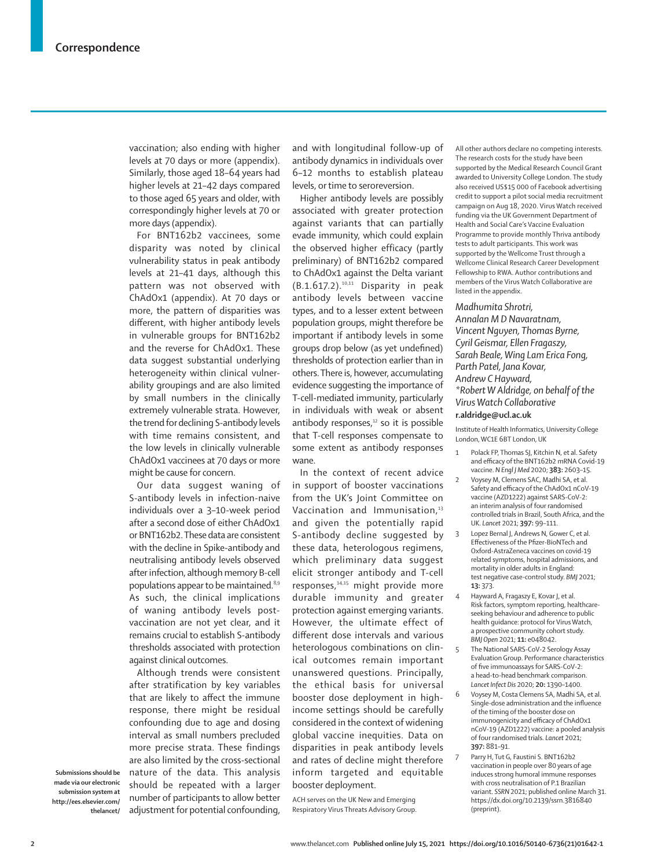vaccination; also ending with higher levels at 70 days or more (appendix). Similarly, those aged 18–64 years had higher levels at 21–42 days compared to those aged 65 years and older, with correspondingly higher levels at 70 or more days (appendix).

For BNT162b2 vaccinees, some disparity was noted by clinical vulnerability status in peak antibody levels at 21–41 days, although this pattern was not observed with ChAdOx1 (appendix). At 70 days or more, the pattern of disparities was different, with higher antibody levels in vulnerable groups for BNT162b2 and the reverse for ChAdOx1. These data suggest substantial underlying heterogeneity within clinical vulnerability groupings and are also limited by small numbers in the clinically extremely vulnerable strata. However, the trend for declining S-antibody levels with time remains consistent, and the low levels in clinically vulnerable ChAdOx1 vaccinees at 70 days or more might be cause for concern.

Our data suggest waning of S-antibody levels in infection-naive individuals over a 3–10-week period after a second dose of either ChAdOx1 or BNT162b2. These data are consistent with the decline in Spike-antibody and neutralising antibody levels observed after infection, although memory B-cell populations appear to be maintained.<sup>8,9</sup> As such, the clinical implications of waning antibody levels postvaccination are not yet clear, and it remains crucial to establish S-antibody thresholds associated with protection against clinical outcomes.

Although trends were consistent after stratification by key variables that are likely to affect the immune response, there might be residual confounding due to age and dosing interval as small numbers precluded more precise strata. These findings are also limited by the cross-sectional nature of the data. This analysis should be repeated with a larger number of participants to allow better adjustment for potential confounding,

**Submissions should be made via our electronic submission system at http://ees.elsevier.com/ thelancet/** and with longitudinal follow-up of antibody dynamics in individuals over 6–12 months to establish plateau levels, or time to seroreversion.

Higher antibody levels are possibly associated with greater protection against variants that can partially evade immunity, which could explain the observed higher efficacy (partly preliminary) of BNT162b2 compared to ChAdOx1 against the Delta variant  $(B.1.617.2).^{10,11}$  Disparity in peak antibody levels between vaccine types, and to a lesser extent between population groups, might therefore be important if antibody levels in some groups drop below (as yet undefined) thresholds of protection earlier than in others. There is, however, accumulating evidence suggesting the importance of T-cell-mediated immunity, particularly in individuals with weak or absent antibody responses, $12$  so it is possible that T-cell responses compensate to some extent as antibody responses wane.

In the context of recent advice in support of booster vaccinations from the UK's Joint Committee on Vaccination and Immunisation,<sup>13</sup> and given the potentially rapid S-antibody decline suggested by these data, heterologous regimens, which preliminary data suggest elicit stronger antibody and T-cell responses,<sup>14,15</sup> might provide more durable immunity and greater protection against emerging variants. However, the ultimate effect of different dose intervals and various heterologous combinations on clinical outcomes remain important unanswered questions. Principally, the ethical basis for universal booster dose deployment in highincome settings should be carefully considered in the context of widening global vaccine inequities. Data on disparities in peak antibody levels and rates of decline might therefore inform targeted and equitable booster deployment.

ACH serves on the UK New and Emerging Respiratory Virus Threats Advisory Group. All other authors declare no competing interests. The research costs for the study have been supported by the Medical Research Council Grant awarded to University College London. The study also received US\$15 000 of Facebook advertising credit to support a pilot social media recruitment campaign on Aug 18, 2020. Virus Watch received funding via the UK Government Department of Health and Social Care's Vaccine Evaluation Programme to provide monthly Thriva antibody tests to adult participants. This work was supported by the Wellcome Trust through a Wellcome Clinical Research Career Development Fellowship to RWA. Author contributions and members of the Virus Watch Collaborative are listed in the appendix.

*Madhumita Shrotri,* 

*Annalan M D Navaratnam, Vincent Nguyen, Thomas Byrne, Cyril Geismar, Ellen Fragaszy, Sarah Beale, Wing Lam Erica Fong, Parth Patel, Jana Kovar, Andrew C Hayward, \*Robert W Aldridge, on behalf of the Virus Watch Collaborative* **r.aldridge@ucl.ac.uk**

Institute of Health Informatics, University College London, WC1E 6BT London, UK

- 1 Polack FP Thomas SJ, Kitchin N, et al. Safety and efficacy of the BNT162b2 mRNA Covid-19 vaccine. *N Engl J Med* 2020; **383:** 2603–15.
- Voysey M, Clemens SAC, Madhi SA, et al. Safety and efficacy of the ChAdOx1 nCoV-19 vaccine (AZD1222) against SARS-CoV-2: an interim analysis of four randomised controlled trials in Brazil, South Africa, and the UK. *Lancet* 2021; **397:** 99–111.
- 3 Lopez Bernal J, Andrews N, Gower C, et al. Effectiveness of the Pfizer-BioNTech and Oxford-AstraZeneca vaccines on covid-19 related symptoms, hospital admissions, and mortality in older adults in England: test negative case-control study. *BMJ* 2021; **13:** 373.
- 4 Hayward A, Fragaszy E, Kovar J, et al. Risk factors, symptom reporting, healthcareseeking behaviour and adherence to public health guidance: protocol for Virus Watch, a prospective community cohort study. *BMJ Open* 2021; **11:** e048042.
- 5 The National SARS-CoV-2 Serology Assay Evaluation Group. Performance characteristics of five immunoassays for SARS-CoV-2: a head-to-head benchmark comparison. *Lancet Infect Dis* 2020; **20:** 1390–1400.
- 6 Voysey M, Costa Clemens SA, Madhi SA, et al. Single-dose administration and the influence of the timing of the booster dose on immunogenicity and efficacy of ChAdOx1 nCoV-19 (AZD1222) vaccine: a pooled analysis of four randomised trials. *Lancet* 2021; **397:** 881–91.
- Parry H, Tut G, Faustini S. BNT162b2 vaccination in people over 80 years of age induces strong humoral immune responses with cross neutralisation of P.1 Brazilian variant. *SSRN* 2021; published online March 31. https://dx.doi.org/10.2139/ssrn.3816840 (preprint).